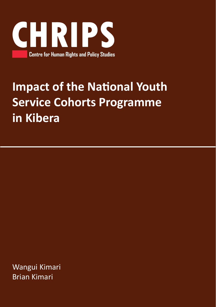

# **Impact of the National Youth Service Cohorts Programme in Kibera**

Wangui Kimari Brian Kimari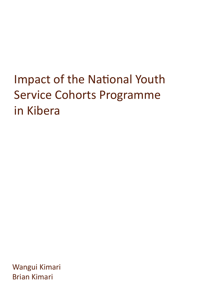# Impact of the National Youth Service Cohorts Programme in Kibera

Wangui Kimari Brian Kimari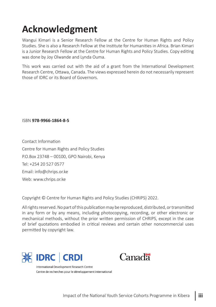## **Acknowledgment**

Wangui Kimari is a Senior Research Fellow at the Centre for Human Rights and Policy Studies. She is also a Research Fellow at the Institute for Humanities in Africa. Brian Kimari is a Junior Research Fellow at the Centre for Human Rights and Policy Studies. Copy editing was done by Joy Olwande and Lynda Ouma.

This work was carried out with the aid of a grant from the International Development Research Centre, Ottawa, Canada. The views expressed herein do not necessarily represent those of IDRC or its Board of Governors.

ISBN **978-9966-1864-8-5**

Contact Information Centre for Human Rights and Policy Studies P.O.Box 23748 – 00100, GPO Nairobi, Kenya Tel: +254 20 527 0577 Email: info@chrips.or.ke Web: www.chrips.or.ke

Copyright © Centre for Human Rights and Policy Studies (CHRIPS) 2022.

All rights reserved. No part of this publication may be reproduced, distributed, or transmitted in any form or by any means, including photocopying, recording, or other electronic or mechanical methods, without the prior written permission of CHRIPS, except in the case of brief quotations embodied in critical reviews and certain other noncommercial uses permitted by copyright law.





International Development Research Centre Centre de recherches pour le développement international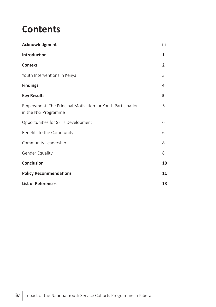### **Contents**

| Acknowledgment                                                                       | iii            |
|--------------------------------------------------------------------------------------|----------------|
| Introduction                                                                         | 1              |
| <b>Context</b>                                                                       | $\overline{2}$ |
| Youth Interventions in Kenya                                                         | 3              |
| <b>Findings</b>                                                                      | 4              |
| <b>Key Results</b>                                                                   | 5              |
| Employment: The Principal Motivation for Youth Participation<br>in the NYS Programme | 5              |
| Opportunities for Skills Development                                                 | 6              |
| Benefits to the Community                                                            | 6              |
| Community Leadership                                                                 | 8              |
| <b>Gender Equality</b>                                                               | 8              |
| <b>Conclusion</b>                                                                    | 10             |
| <b>Policy Recommendations</b>                                                        | 11             |
| <b>List of References</b>                                                            | 13             |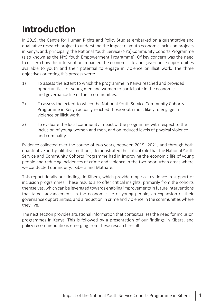## **Introduction**

In 2019, the Centre for Human Rights and Policy Studies embarked on a quantitative and qualitative research project to understand the impact of youth economic inclusion projects in Kenya, and, principally, the National Youth Service (NYS) Community Cohorts Programme (also known as the NYS Youth Empowerment Programme). Of key concern was the need to discern how this intervention impacted the economic life and governance opportunities available to youth and their potential to engage in violence or illicit work. The three objectives orienting this process were:

- 1) To assess the extent to which the programme in Kenya reached and provided opportunities for young men and women to participate in the economic and governance life of their communities.
- 2) To assess the extent to which the National Youth Service Community Cohorts Programme in Kenya actually reached those youth most likely to engage in violence or illicit work.
- 3) To evaluate the local community impact of the programme with respect to the inclusion of young women and men, and on reduced levels of physical violence and criminality.

Evidence collected over the course of two years, between 2019 - 2021, and through both quantitative and qualitative methods, demonstrated the critical role that the National Youth Service and Community Cohorts Programme had in improving the economic life of young people and reducing incidences of crime and violence in the two poor urban areas where we conducted our inquiry: Kibera and Mathare.

This report details our findings in Kibera, which provide empirical evidence in support of inclusion programmes. These results also offer critical insights, primarily from the cohorts themselves, which can be leveraged towards enabling improvements in future interventions that target advancements in the economic life of young people, an expansion of their governance opportunities, and a reduction in crime and violence in the communities where they live.

The next section provides situational information that contextualizes the need for inclusion programmes in Kenya. This is followed by a presentation of our findings in Kibera, and policy recommendations emerging from these research results.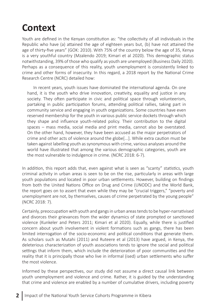## **Context**

Youth are defined in the Kenyan constitution as: "the collectivity of all individuals in the Republic who have (a) attained the age of eighteen years but, (b) have not attained the age of thirty-five years" (GOK: 2010). With 75% of the country below the age of 35, Kenya is a very youthful country (Mzalendo 2019; Kimari et al 2020). This demographic status notwithstanding, 39% of those who qualify as youth are unemployed (Business Daily 2020). Perhaps as a consequence of this reality, youth unemployment is consistently linked to crime and other forms of insecurity. In this regard, a 2018 report by the National Crime Research Centre (NCRC) detailed how:

In recent years, youth issues have dominated the international agenda. On one hand, it is the youth who drive innovation, creativity, equality and justice in any society. They often participate in civic and political space through volunteerism, partaking in public participation forums, attending political rallies, taking part in community service and engaging in youth organizations. Some countries have even reserved membership for the youth in various public service dockets through which they shape and influence youth-related policy. Their contribution to the digital spaces – mass media, social media and print media, cannot also be overstated. On the other hand, however, they have been accused as the major perpetrators of crime and other acts of violence around the globe[...]. While extra caution must be taken against labelling youth as synonymous with crime, various analyses around the world have illustrated that among the various demographic categories, youth are the most vulnerable to indulgence in crime. (NCRC 2018: 6-7).

In addition, this report adds that, even against what is seen as "scanty" statistics, youth criminal activity in urban areas is seen to be on the rise, particularly in areas with large youth populations and located in poor urban settlements. However, building on findings from both the United Nations Office on Drug and Crime (UNODC) and the World Bank, the report goes on to assert that even while they may be "crucial triggers," "poverty and unemployment are not, by themselves, causes of crime perpetrated by the young people" (NCRC 2018: 7).

Certainly, preoccupation with youth and gangs in urban areas tends to be hyper-narrativised and divorces their grievances from the wider dynamics of state prompted or sanctioned violence (Kunkeler and Peters 2011; Kimari et al 2020). Equally, while there is justified concern about youth involvement in violent formations such as gangs, there has been limited interrogation of the socio-economic and political conditions that generate them. As scholars such as Mutahi (2011) and Ruteere et al (2013) have argued, in Kenya, the deleterious characterization of youth associations tends to ignore the social and political settings that inform them, which include the deterioration of poor communities and the reality that it is principally those who live in informal (ised) urban settlements who suffer the most violence.

Informed by these perspectives, our study did not assume a direct causal link between youth unemployment and violence and crime. Rather, it is guided by the understanding that crime and violence are enabled by a number of cumulative drivers, including poverty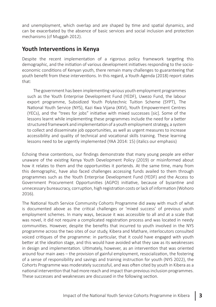and unemployment, which overlap and are shaped by time and spatial dynamics, and can be exacerbated by the absence of basic services and social inclusion and protection mechanisms (cf Muggah 2012).

### **Youth Interventions in Kenya**

Despite the recent implementation of a rigorous policy framework targeting this demographic, and the initiation of various development initiatives responding to the socioeconomic conditions of Kenyan youth, there remain many challenges to guaranteeing that youth benefit from these interventions. In this regard, a Youth Agenda (2018) report states that:

The government has been implementing various youth employment programmes such as the Youth Enterprise Development Fund (YEDF), Uwezo Fund, the labour export programme, Subsidized Youth Polytechnic Tuition Scheme (SYPT), The National Youth Service (NYS), Kazi Kwa Vijana (KKV), Youth Empowerment Centres (YECs), and the "trees for jobs" initiative with mixed successes [sic]. Some of the lessons learnt while implementing these programmes include the need for a better structured framework and implementation of a youth employment strategy, a system to collect and disseminate job opportunities, as well as urgent measures to increase accessibility and quality of technical and vocational skills training. These learning lessons need to be urgently implemented (YAA 2014: 15) (italics our emphasis)

Echoing these contentions, our findings demonstrate that many young people are either unaware of the existing Kenya Youth Development Policy (2019) or misinformed about how it relates to them and the opportunities it portends. At the same time, many from this demographic, have also faced challenges accessing funds availed to them through programmes such as the Youth Enterprise Development Fund (YEDF) and the Access to Government Procurement Opportunities (AGPO) initiative, because of byzantine and unnecessary bureaucracy, corruption, high registration costs or lack of information (Wohoro 2016).

The National Youth Service Community Cohorts Programme did away with much of what is documented above as the critical challenges or 'mixed success' of previous youth employment schemes. In many ways, because it was accessible to all and at a scale that was novel, it did not require a complicated registration process and was located in needy communities. However, despite the benefits that incurred to youth involved in the NYS programme across the two sites of our study, Kibera and Mathare, interlocutors consulted voiced critiques of the programme: in particular, that it could have engaged with youth better at the ideation stage, and this would have avoided what they saw as its weaknesses in design and implementation. Ultimately, however, as an intervention that was oriented around four main axes – the provision of gainful employment, resocialization, the fostering of a sense of responsibility and savings and training instruction for youth (NYS 2022), the Cohorts Programme was moderately successful, and was often cited by youth in Kibera as a national intervention that had more reach and impact than previous inclusion programmes. These successes and weaknesses are discussed in the following section.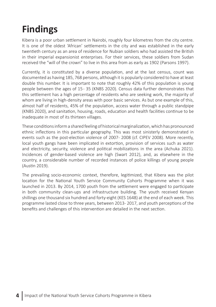## **Findings**

Kibera is a poor urban settlement in Nairobi, roughly four kilometres from the city centre. It is one of the oldest 'African' settlements in the city and was established in the early twentieth century as an area of residence for Nubian soldiers who had assisted the British in their imperial expansionist enterprises. For their services, these soldiers from Sudan received the "will of the crown" to live in this area from as early as 1902 (Parsons 1997).

Currently, it is constituted by a diverse population, and at the last census, count was documented as having 185, 768 persons, although it is popularly considered to have at least double this number. It is important to note that roughly 42% of this population is young people between the ages of 15 - 35 (KNBS 2020). Census data further demonstrates that this settlement has a high percentage of residents who are seeking work, the majority of whom are living in high-density areas with poor basic services. As but one example of this, almost half of residents, 45% of the population, access water through a public standpipe (KNBS 2020), and sanitation, housing, roads, education and health facilities continue to be inadequate in most of its thirteen villages.

These conditions inform a shared feeling of historical marginalization, which has pronounced ethnic inflections in this particular geography. This was most sinisterly demonstrated in events such as the post-election violence of 2007- 2008 (cf. CIPEV 2008). More recently, local youth gangs have been implicated in extortion, provision of services such as water and electricity, security, violence and political mobilizations in the area (Achuka 2021). Incidences of gender-based violence are high (Swart 2012), and, as elsewhere in the country, a considerable number of recorded instances of police killings of young people (Austin 2019).

The prevailing socio-economic context, therefore, legitimized, that Kibera was the pilot location for the National Youth Service Community Cohorts Programme when it was launched in 2013. By 2014, 1700 youth from the settlement were engaged to participate in both community clean-ups and infrastructure building. The youth received Kenyan shillings one thousand six hundred and forty-eight (KES 1648) at the end of each week. This programme lasted close to three years, between 2013- 2017, and youth perceptions of the benefits and challenges of this intervention are detailed in the next section.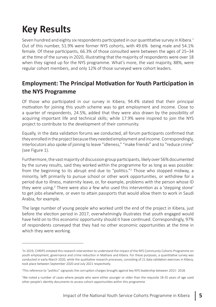## **Key Results**

Seven hundred and eighty six respondents participated in our quantitative survey in Kibera.<sup>1</sup> Out of this number, 51.9% were former NYS cohorts, with 49.6% being male and 54.1% female. Of these participants, 66.3% of those consulted were between the ages of 25–34 at the time of the survey in 2020, illustrating that the majority of respondents were over 18 when they signed up for the NYS programme. What's more, the vast majority, 88%, were regular cohort members, and only 12% of those surveyed were cohort leaders.

### **Employment: The Principal Motivation for Youth Participation in the NYS Programme**

Of those who participated in our survey in Kibera, 94.4% stated that their principal motivation for joining this youth scheme was to get employment and income. Close to a quarter of respondents, 24.5%, added that they were also drawn by the possibility of acquiring important life and technical skills; while 17.9% were inspired to join the NYS project to contribute to the development of their community.

Equally, in the data validation forums we conducted, all forum participants confirmed that they enrolled in the project because they needed employment and income. Correspondingly, interlocutors also spoke of joining to leave "idleness," "make friends" and to "reduce crime" (see Figure 1).

Furthermore, the vast majority of discussion group participants, likely over 56% documented by the survey results, said they worked within the programme for as long as was possible: from the beginning to its abrupt end due to "politics."<sup>2</sup> Those who stopped midway, a minority, left primarily to pursue school or other work opportunities, or withdrew for a period due to illness, maternity leave, or, for example, problems with the person whose ID they were using.<sup>3</sup> There were also a few who used this intervention as a 'stepping stone' to get jobs elsewhere, or even to attain passports that would allow them to work in Saudi Arabia, for example.

The large number of young people who worked until the end of the project in Kibera, just before the election period in 2017, overwhelmingly illustrates that youth engaged would have held on to this economic opportunity should it have continued. Correspondingly, 97% of respondents conveyed that they had no other economic opportunities at the time in which they were working.

<sup>1</sup> In 2019, CHRIPS initiated this research intervention to understand the impact of the NYS Community Cohorts Programme on youth employment, governance and crime reduction in Mathare and Kibera. For these purposes, a quantitative survey was conducted in early March 2020, while the qualitative research processes, consisting of 21 data validation exercises in Kibera, took place between September 2020 and July 2021 respectively.

<sup>2</sup> This reference to "politics" signposts the corruption charges brought against key NYS leadership between 2015 - 2018.

<sup>3</sup> We noted a number of cases where people who were either younger or older than the requisite 18-35 years of age used other people's identity documents to access cohort opportunities within this programme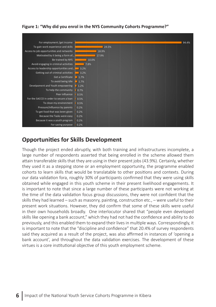#### **Figure 1: "Why did you enrol in the NYS Community Cohorts Programme?"**



### **Opportunities for Skills Development**

Though the project ended abruptly, with both training and infrastructures incomplete, a large number of respondents asserted that being enrolled in the scheme allowed them attain transferable skills that they are using in their present jobs (43.9%). Certainly, whether they used it as a stepping stone or an employment opportunity, the programme enabled cohorts to learn skills that would be translatable to other positions and contexts. During our data validation fora, roughly 30% of participants confirmed that they were using skills obtained while engaged in this youth scheme in their present livelihood engagements. It is important to note that since a large number of these participants were not working at the time of the data validation focus group discussions, they were not confident that the skills they had learned – such as masonry, painting, construction etc., – were useful to their present work situations. However, they did confirm that some of these skills were useful in their own households broadly. One interlocutor shared that "people even developed skills like opening a bank account," which they had not had the confidence and ability to do previously, and this enabled them to expand their lives in multiple ways. Correspondingly, it is important to note that the "discipline and confidence" that 20.4% of survey respondents said they acquired as a result of the project, was also affirmed in instances of 'opening a bank account', and throughout the data validation exercises. The development of these virtues is a core institutional objective of this youth employment scheme.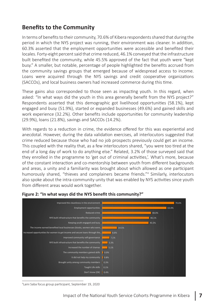### **Benefits to the Community**

In terms of benefits to their community, 70.6% of Kibera respondents shared that during the period in which the NYS project was running, their environment was cleaner. In addition, 60.3% asserted that the employment opportunities were accessible and benefited their locales. Forty-eight percent said that crime reduced, 46.1% conveyed that the infrastructure built benefited the community, while 45.5% approved of the fact that youth were "kept busy." A smaller, but notable, percentage of people highlighted the benefits accrued from the community savings groups that emerged because of widespread access to income. Loans were acquired through the NYS savings and credit cooperative organizations (SACCOs), and local business owners had increased commerce during this time.

These gains also corresponded to those seen as impacting youth. In this regard, when asked: "In what ways did the youth in this area generally benefit from the NYS project?" Respondents asserted that this demographic got livelihood opportunities (58.1%), kept engaged and busy (51.9%), started or expanded businesses (49.6%) and gained skills and work experience (32.2%). Other benefits include opportunities for community leadership (29.9%), loans (21.8%), savings and SACCOs (14.2%).

With regards to a reduction in crime, the evidence offered for this was experiential and anecdotal. However, during the data validation exercises, all interlocutors suggested that crime reduced because those who had no job prospects previously could get an income. This coupled with the reality that, as a few interlocutors shared, "you were too tired at the end of a long day of work to do anything else." Related, 3.2% of those surveyed said that they enrolled in the programme to 'get out of criminal activities,'. What's more, because of the constant interaction and co-mentorship between youth from different backgrounds and areas, a unity and a familiarity was brought about which allowed as one participant humorously shared, "thieves and complainers became friends."4 Similarly, interlocutors also spoke about the intra-community unity that was enabled by NYS activities since youth from different areas would work together.



#### **Figure 2: "In what ways did the NYS benefit this community?"**

4 Laini Saba focus group participant, September 19, 2020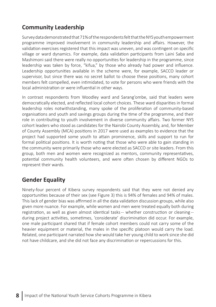### **Community Leadership**

Survey data demonstrated that 71% of the respondents felt that the NYS youth empowerment programme improved involvement in community leadership and affairs. However, the validation exercises registered that this impact was uneven, and was contingent on specific village or ward dynamics. For example, data validation participants from Laini Saba and Mashimoni said there were really no opportunities for leadership in the programme, since leadership was taken by force, "kifua," by those who already had power and influence. Leadership opportunities available in the scheme were, for example, SACCO leader or supervisor, but since there was no secret ballot to choose these positions, many cohort members felt compelled, even intimidated, to vote for persons who were friends with the local administration or were influential in other ways.

In contrast respondents from Woodley ward and Sarang'ombe, said that leaders were democratically elected, and reflected local cohort choices. These ward disparities in formal leadership roles notwithstanding, many spoke of the proliferation of community-based organisations and youth and savings groups during the time of the programme, and their role in contributing to youth involvement in diverse community affairs. Two former NYS cohort leaders who stood as candidates for the Nairobi County Assembly, and, for Member of County Assembly (MCA) positions in 2017 were used as examples to evidence that the project had supported some youth to attain prominence, skills and support to run for formal political positions. It is worth noting that those who were able to gain standing in the community were primarily those who were elected as SACCO or site leaders. From this group, both men and women were recognized as mentors, community representatives, potential community health volunteers, and were often chosen by different NGOs to represent their wards.

### **Gender Equality**

Ninety-four percent of Kibera survey respondents said that they were not denied any opportunities because of their sex (see Figure 3) this is 94% of females and 94% of males. This lack of gender bias was affirmed in all the data validation discussion groups, while also given more nuance. For example, while women and men were treated equally both during registration, as well as given almost identical tasks -- whether construction or cleaning - during project activities, sometimes, 'considerate' discrimination did occur. For example, one male participant shared that if female cohort members could not carry some of the heavier equipment or material, the males in the specific platoon would carry the load. Related, one participant narrated how she would take her young child to work since she did not have childcare, and she did not face any discrimination or repercussions for this.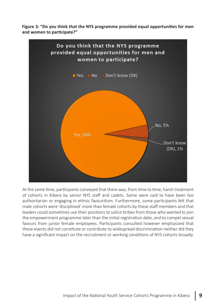**Figure 3: "Do you think that the NYS programme provided equal opportunities for men and women to participate?"**



At the same time, participants conveyed that there was, from time to time, harsh treatment of cohorts in Kibera by senior NYS staff and cadets. Some were said to have been too authoritarian or engaging in ethnic favouritism. Furthermore, some participants felt that male cohorts were 'disciplined' more than female cohorts by these staff members and that leaders could sometimes use their positions to solicit bribes from those who wanted to join the empowerment programme later than the initial registration date, and to compel sexual favours from junior female employees. Participants consulted however emphasized that these events did not constitute or contribute to widespread discrimination neither did they have a significant impact on the recruitment or working conditions of NYS cohorts broadly.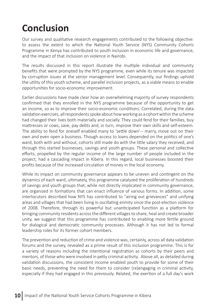## **Conclusion**

Our survey and qualitative research engagements contributed to the following objective: to assess the extent to which the National Youth Service (NYS) Community Cohorts Programme in Kenya has contributed to youth inclusion in economic life and governance, and the impact of that inclusion on violence in Nairobi.

The results discussed in this report illustrate the multiple individual and community benefits that were prompted by the NYS programme, even while its tenure was impacted by corruption issues at the senior management level. Consequently, our findings uphold the utility of this youth scheme, and parallel inclusion projects, as a viable means to enable opportunities for socio-economic improvement.

Earlier discussions have made clear how an overwhelming majority of survey respondents confirmed that they enrolled in the NYS programme because of the opportunity to get an income, so as to improve their socio-economic conditions. Correlated, during the data validation exercises, all respondents spoke about how working as a cohort within the scheme had changed their lives both materially and socially. They could fend for their families, buy mattresses or cows, save, pay debts and, in turn, improve their own skills and self-esteem. The ability to fend for oneself enabled many to 'settle down'-- marry, move out on their own and even open a business. Though access to loans depended on the politics of one's ward, both with and without, cohorts still made do with the little salary they received, and through this started businesses, savings and youth groups. These personal and collective efforts, propelled by the regular income of the large number of people included in the project, had a cascading impact in Kibera. In this regard, local businesses boosted their profits because of the increased circulation of money in the local economy.

While its impact on community governance appears to be uneven and contingent on the dynamics of each ward, ultimately, this programme catalyzed the proliferation of hundreds of savings and youth groups that, while not directly implicated in community governance, are organized in formations that can enact influence of various forms. In addition, some interlocutors described how NYS has contributed to "airing out grievances" and unifying areas and villages that had been living in oscillating enmity since the post-election violence of 2008. Therefore, through its powerful but unanticipated function as a platform for bringing community residents across the different villages to share, heal and create broader unity, we suggest that this programme has contributed to enabling more fertile ground for dialogical and democratic community processes. Although it has not led to formal leadership roles for its former cohort members.

The prevention and reduction of crime and violence was, certainly, across all data validation forums and the survey, revealed as a prime result of this inclusion programme. This is for a variety of reasons including the intentional registration as cohorts by their peers and mentors, of those who were involved in petty criminal activity. Above all, as detailed during validation discussions, the consistent income enabled youth to provide for some of their basic needs, preventing the need for them to consider (re)engaging in criminal activity, especially if they had engaged in this previously. Related, the exertion of a full day's work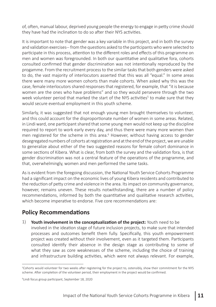of, often, manual labour, deprived young people the energy to engage in petty crime should they have had the inclination to do so after their NYS activities.

It is important to note that gender was a key variable in this project, and in both the survey and validation exercises-- from the questions asked to the participants who were selected to participate in this process, attention to the different roles and effects of this programme on men and women was foregrounded. In both our quantitative and qualitative fora, cohorts consulted confirmed that gender discrimination was not intentionally reproduced by the progamme. From the recruitment process to the similar tasks that both genders were asked to do, the vast majority of interlocutors asserted that this was all "equal." In some areas there were many more women cohorts than male cohorts. When asked why this was the case, female interlocutors shared responses that registered, for example, that "it is because women are the ones who have problems" and so they would persevere through the two week volunteer period that marked the start of the NYS activities<sup>5</sup> to make sure that they would secure eventual employment in this youth scheme.

Similarly, it was suggested that not enough young men brought themselves to volunteer, and this could account for the disproportionate number of women in some areas. Related, in Lindi ward, one participant shared that some young men would not keep up the discipline required to report to work early every day, and thus there were many more women than men registered for the scheme in this area.<sup>6</sup> However, without having access to gender desegregated numbers of cohorts at registration and at the end of the project, we are unable to generalize about either of the two suggested reasons for female cohort dominance in some sections of Kibera. What is clear, from both the survey and the validation fora, is that gender discrimination was not a central feature of the operations of the programme, and that, overwhelmingly, women and men performed the same tasks.

As is evident from the foregoing discussion, the National Youth Service Cohorts Programme had a significant impact on the economic lives of young Kibera residents and contributed to the reduction of petty crime and violence in the area. Its impact on community governance, however, remains uneven. These results notwithstanding, there are a number of policy recommendations, informed by both the quantitative and qualitative research activities, which become imperative to endorse. Five core recommendations are:

### **Policy Recommendations**

**Youth involvement in the conceptualization of the project:** Youth need to be involved in the ideation stage of future inclusion projects, to make sure that intended processes and outcomes benefit them fully. Specifically, this youth empowerment project was created without their involvement, even as it targeted them. Participants consulted identify their absence in the design stage as contributing to some of what they saw as core weaknesses of the scheme, including the choice of training and infrastructure building activities, which were not always relevant. For example, 1)

<sup>5</sup> Cohorts would volunteer for two weeks after registering for the project to, ostensibly, show their commitment for the NYS scheme. After completion of the volunteer period, their employment in the project would be confirmed.

<sup>6</sup> Lindi focus group participant, September 18, 2020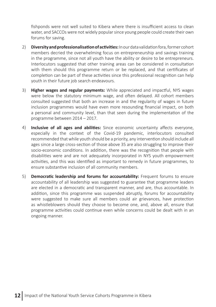fishponds were not well suited to Kibera where there is insufficient access to clean water, and SACCOs were not widely popular since young people could create their own forums for saving.

- **Diversity and professionalisation of activities:** In our data validation fora, former cohort members decried the overwhelming focus on entrepreneurship and savings training in the programme, since not all youth have the ability or desire to be entrepreneurs. Interlocutors suggested that other training areas can be considered in consultation with them should this programme return or be replaced, and that certificates of completion can be part of these activities since this professional recognition can help youth in their future job search endeavours. 2)
- **Higher wages and regular payments:** While appreciated and impactful, NYS wages were below the statutory minimum wage, and often delayed. All cohort members consulted suggested that both an increase in and the regularity of wages in future inclusion programmes would have even more resounding financial impact, on both a personal and community level, than that seen during the implementation of the programme between 2014 – 2017. 3)
- **Inclusive of all ages and abilities:** Since economic uncertainty affects everyone, especially in the context of the Covid-19 pandemic, interlocutors consulted recommended that while youth should be a priority, any intervention should include all ages since a large cross-section of those above 35 are also struggling to improve their socio-economic conditions. In addition, there was the recognition that people with disabilities were and are not adequately incorporated in NYS youth empowerment activities, and this was identified as important to remedy in future programmes, to ensure substantive inclusion of all community members. 4)
- **Democratic leadership and forums for accountability:** Frequent forums to ensure accountability of all leadership was suggested to guarantee that programme leaders are elected in a democratic and transparent manner, and are, thus accountable. In addition, since this programme was suspended abruptly, forums for accountability were suggested to make sure all members could air grievances, have protection as whistleblowers should they choose to become one, and, above all, ensure that programme activities could continue even while concerns could be dealt with in an ongoing manner. 5)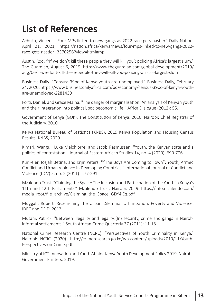## **List of References**

Achuka, Vincent. "Four MPs linked to new gangs as 2022 race gets nastier." Daily Nation, April 21, 2021, https://nation.africa/kenya/news/four-mps-linked-to-new-gangs-2022 race-gets-nastier--3370256?view=htmlamp

Austin, Rod. "'If we don't kill these people they will kill you': policing Africa's largest slum." The Guardian, August 6, 2019. https://www.theguardian.com/global-development/2019/ aug/06/if-we-dont-kill-these-people-they-will-kill-you-policing-africas-largest-slum

Business Daily. "Census: 39pc of Kenya youth are unemployed." Business Daily, February 24, 2020, https://www.businessdailyafrica.com/bd/economy/census-39pc-of-kenya-youthare-unemployed-2281430

Forti, Daniel, and Grace Maina. "The danger of marginalisation: An analysis of Kenyan youth and their integration into political, socioeconomic life." Africa Dialogue (2012): 55.

Government of Kenya (GOK). The Constitution of Kenya: 2010. Nairobi: Chief Registrar of the Judiciary, 2010.

Kenya National Bureau of Statistics (KNBS). 2019 Kenya Population and Housing Census Results. KNBS, 2020.

Kimari, Wangui, Luke Melchiorre, and Jacob Rasmussen. "Youth, the Kenyan state and a politics of contestation." Journal of Eastern African Studies 14, no. 4 (2020): 690-706.

Kunkeler, Josjah Betina, and Krijn Peters. ""The Boys Are Coming to Town": Youth, Armed Conflict and Urban Violence in Developing Countries." International Journal of Conflict and Violence (IJCV) 5, no. 2 (2011): 277-291.

Mzalendo Trust. "Claiming the Space: The Inclusion and Participation of the Youth in Kenya's 11th and 12th Parliaments." Mzalendo Trust: Nairobi, 2019. https://info.mzalendo.com/ media\_root/file\_archive/Claiming\_the\_Space\_GDY4lEq.pdf

Muggah, Robert. Researching the Urban Dilemma: Urbanization, Poverty and Violence, IDRC and DFID, 2012.

Mutahi, Patrick. "Between illegality and legality:(In) security, crime and gangs in Nairobi informal settlements." South African Crime Quarterly 37 (2011): 11-18.

National Crime Research Centre (NCRC). "Perspectives of Youth Criminality in Kenya." Nairobi: NCRC (2020). http://crimeresearch.go.ke/wp-content/uploads/2019/11/Youth-Perspectives-on-Crime.pdf

Ministry of ICT, Innovation and Youth Affairs. Kenya Youth Development Policy 2019. Nairobi: Government Printers, 2019.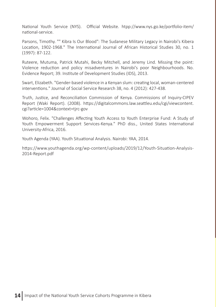National Youth Service (NYS). Official Website. htpp://www.nys.go.ke/portfolio-item/ national-service.

Parsons, Timothy. "" Kibra Is Our Blood": The Sudanese Military Legacy in Nairobi's Kibera Location, 1902-1968." The International Journal of African Historical Studies 30, no. 1 (1997): 87-122.

Ruteere, Mutuma, Patrick Mutahi, Becky Mitchell, and Jeremy Lind. Missing the point: Violence reduction and policy misadventures in Nairobi's poor Neighbourhoods. No. Evidence Report; 39. Institute of Development Studies (IDS), 2013.

Swart, Elizabeth. "Gender-based violence in a Kenyan slum: creating local, woman-centered interventions." Journal of Social Service Research 38, no. 4 (2012): 427-438.

Truth, Justice, and Reconciliation Commission of Kenya. Commissions of Inquiry-CIPEV Report (Waki Report). (2008). https://digitalcommons.law.seattleu.edu/cgi/viewcontent. cgi?article=1004&context=tjrc-gov

Wohoro, Felix. "Challenges Affecting Youth Access to Youth Enterprise Fund: A Study of Youth Empowerment Support Services-Kenya." PhD diss., United States International University-Africa, 2016.

Youth Agenda (YAA). Youth Situational Analysis. Nairobi: YAA, 2014.

https://www.youthagenda.org/wp-content/uploads/2019/12/Youth-Situation-Analysis-2014-Report.pdf